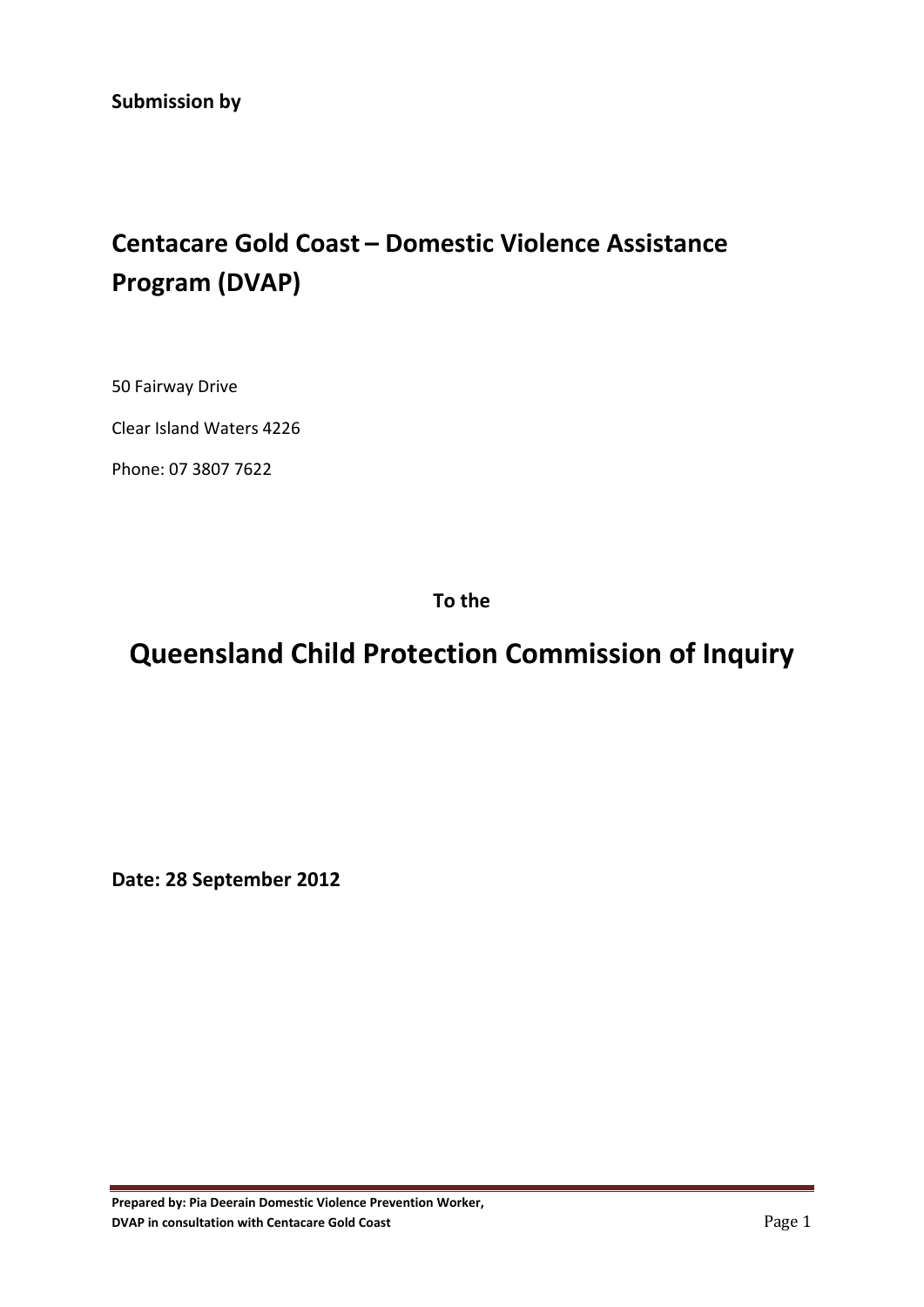# **Centacare Gold Coast – Domestic Violence Assistance Program (DVAP)**

50 Fairway Drive

Clear Island Waters 4226

Phone: 07 3807 7622

**To the**

## **Queensland Child Protection Commission of Inquiry**

**Date: 28 September 2012**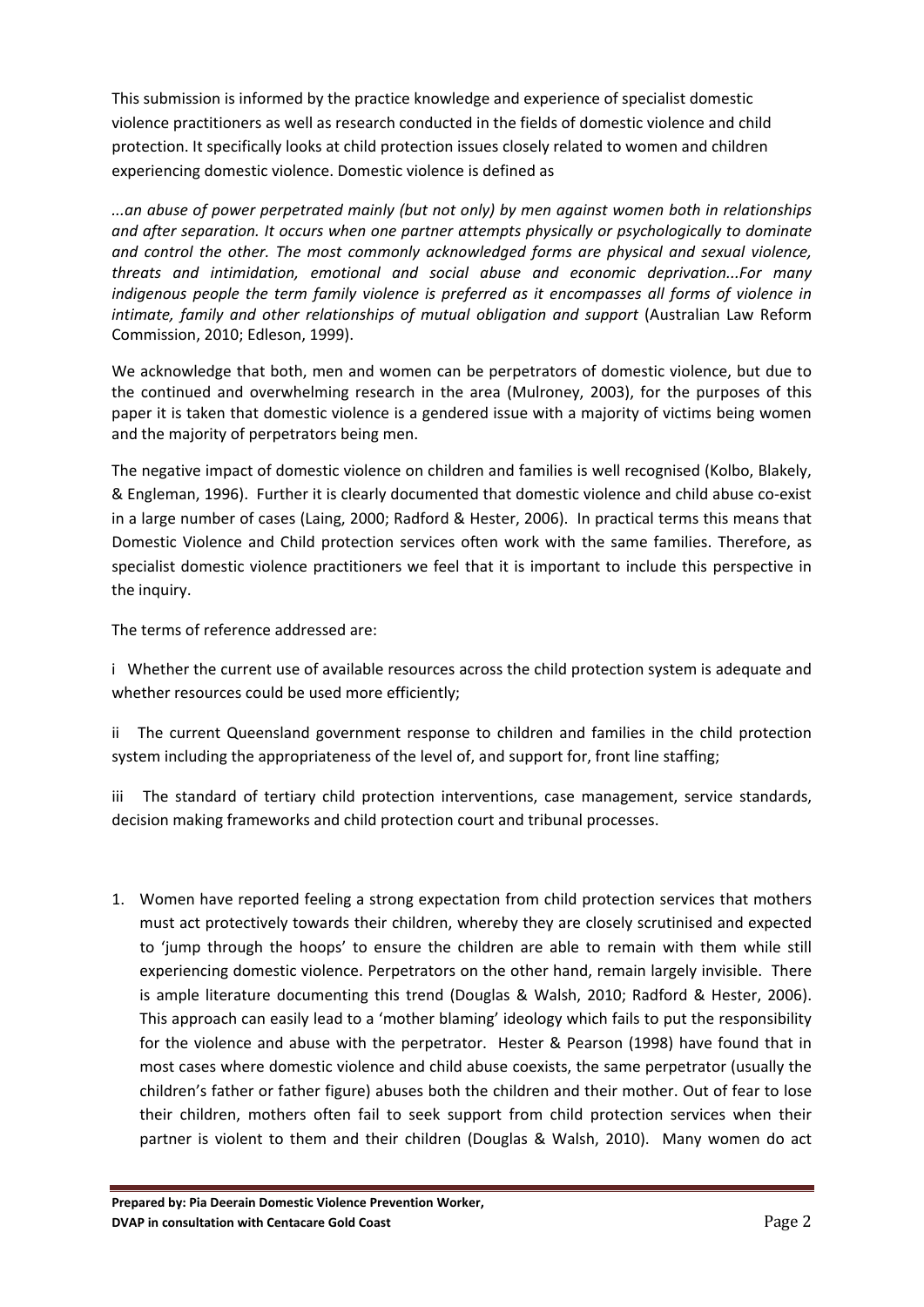This submission is informed by the practice knowledge and experience of specialist domestic violence practitioners as well as research conducted in the fields of domestic violence and child protection. It specifically looks at child protection issues closely related to women and children experiencing domestic violence. Domestic violence is defined as

*...an abuse of power perpetrated mainly (but not only) by men against women both in relationships and after separation. It occurs when one partner attempts physically or psychologically to dominate and control the other. The most commonly acknowledged forms are physical and sexual violence, threats and intimidation, emotional and social abuse and economic deprivation...For many indigenous people the term family violence is preferred as it encompasses all forms of violence in intimate, family and other relationships of mutual obligation and support* ([Australian](#page-6-0) Law Reform [Commission,](#page-6-0) 2010; [Edleson,](#page-5-0) 1999).

We acknowledge that both, men and women can be perpetrators of domestic violence, but due to the continued and overwhelming research in the area [\(Mulroney,](#page-5-1) 2003), for the purposes of this paper it is taken that domestic violence is a gendered issue with a majority of victims being women and the majority of perpetrators being men.

The negative impact of domestic violence on children and families is well recognised (Kolbo, [Blakely,](#page-5-2) & [Engleman,](#page-5-2) 1996). Further it is clearly documented that domestic violence and child abuse co‐exist in a large number of cases ([Laing,](#page-5-3) 2000; [Radford](#page-5-4) & Hester, 2006). In practical terms this means that Domestic Violence and Child protection services often work with the same families. Therefore, as specialist domestic violence practitioners we feel that it is important to include this perspective in the inquiry.

The terms of reference addressed are:

i Whether the current use of available resources across the child protection system is adequate and whether resources could be used more efficiently;

ii The current Queensland government response to children and families in the child protection system including the appropriateness of the level of, and support for, front line staffing;

iii The standard of tertiary child protection interventions, case management, service standards, decision making frameworks and child protection court and tribunal processes.

1. Women have reported feeling a strong expectation from child protection services that mothers must act protectively towards their children, whereby they are closely scrutinised and expected to 'jump through the hoops' to ensure the children are able to remain with them while still experiencing domestic violence. Perpetrators on the other hand, remain largely invisible. There is ample literature documenting this trend [\(Douglas](#page-5-5) & Walsh, 2010; [Radford](#page-5-4) & Hester, 2006). This approach can easily lead to a 'mother blaming' ideology which fails to put the responsibility for the violence and abuse with the perpetrator. Hester & Pearson [\(1998\)](#page-5-6) have found that in most cases where domestic violence and child abuse coexists, the same perpetrator (usually the children's father or father figure) abuses both the children and their mother. Out of fear to lose their children, mothers often fail to seek support from child protection services when their partner is violent to them and their children ([Douglas](#page-5-5) & Walsh, 2010). Many women do act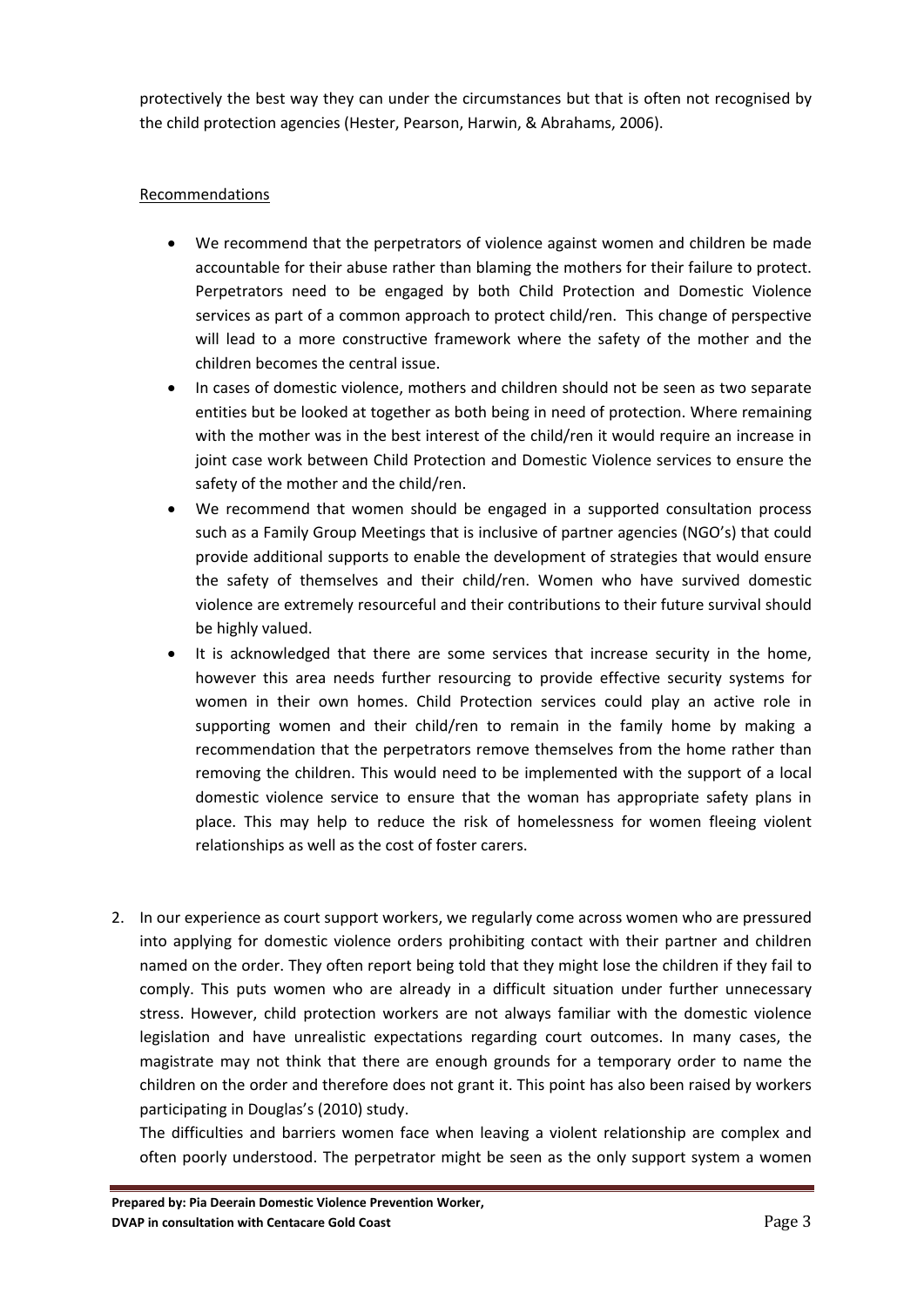protectively the best way they can under the circumstances but that is often not recognised by the child protection agencies (Hester, Pearson, Harwin, & [Abrahams,](#page-5-7) 2006).

### **Recommendations**

- We recommend that the perpetrators of violence against women and children be made accountable for their abuse rather than blaming the mothers for their failure to protect. Perpetrators need to be engaged by both Child Protection and Domestic Violence services as part of a common approach to protect child/ren. This change of perspective will lead to a more constructive framework where the safety of the mother and the children becomes the central issue.
- In cases of domestic violence, mothers and children should not be seen as two separate entities but be looked at together as both being in need of protection. Where remaining with the mother was in the best interest of the child/ren it would require an increase in joint case work between Child Protection and Domestic Violence services to ensure the safety of the mother and the child/ren.
- We recommend that women should be engaged in a supported consultation process such as a Family Group Meetings that is inclusive of partner agencies (NGO's) that could provide additional supports to enable the development of strategies that would ensure the safety of themselves and their child/ren. Women who have survived domestic violence are extremely resourceful and their contributions to their future survival should be highly valued.
- It is acknowledged that there are some services that increase security in the home, however this area needs further resourcing to provide effective security systems for women in their own homes. Child Protection services could play an active role in supporting women and their child/ren to remain in the family home by making a recommendation that the perpetrators remove themselves from the home rather than removing the children. This would need to be implemented with the support of a local domestic violence service to ensure that the woman has appropriate safety plans in place. This may help to reduce the risk of homelessness for women fleeing violent relationships as well as the cost of foster carers.
- 2. In our experience as court support workers, we regularly come across women who are pressured into applying for domestic violence orders prohibiting contact with their partner and children named on the order. They often report being told that they might lose the children if they fail to comply. This puts women who are already in a difficult situation under further unnecessary stress. However, child protection workers are not always familiar with the domestic violence legislation and have unrealistic expectations regarding court outcomes. In many cases, the magistrate may not think that there are enough grounds for a temporary order to name the children on the order and therefore does not grant it. This point has also been raised by workers participating in Douglas's [\(2010\)](#page-5-5) study.

The difficulties and barriers women face when leaving a violent relationship are complex and often poorly understood. The perpetrator might be seen as the only support system a women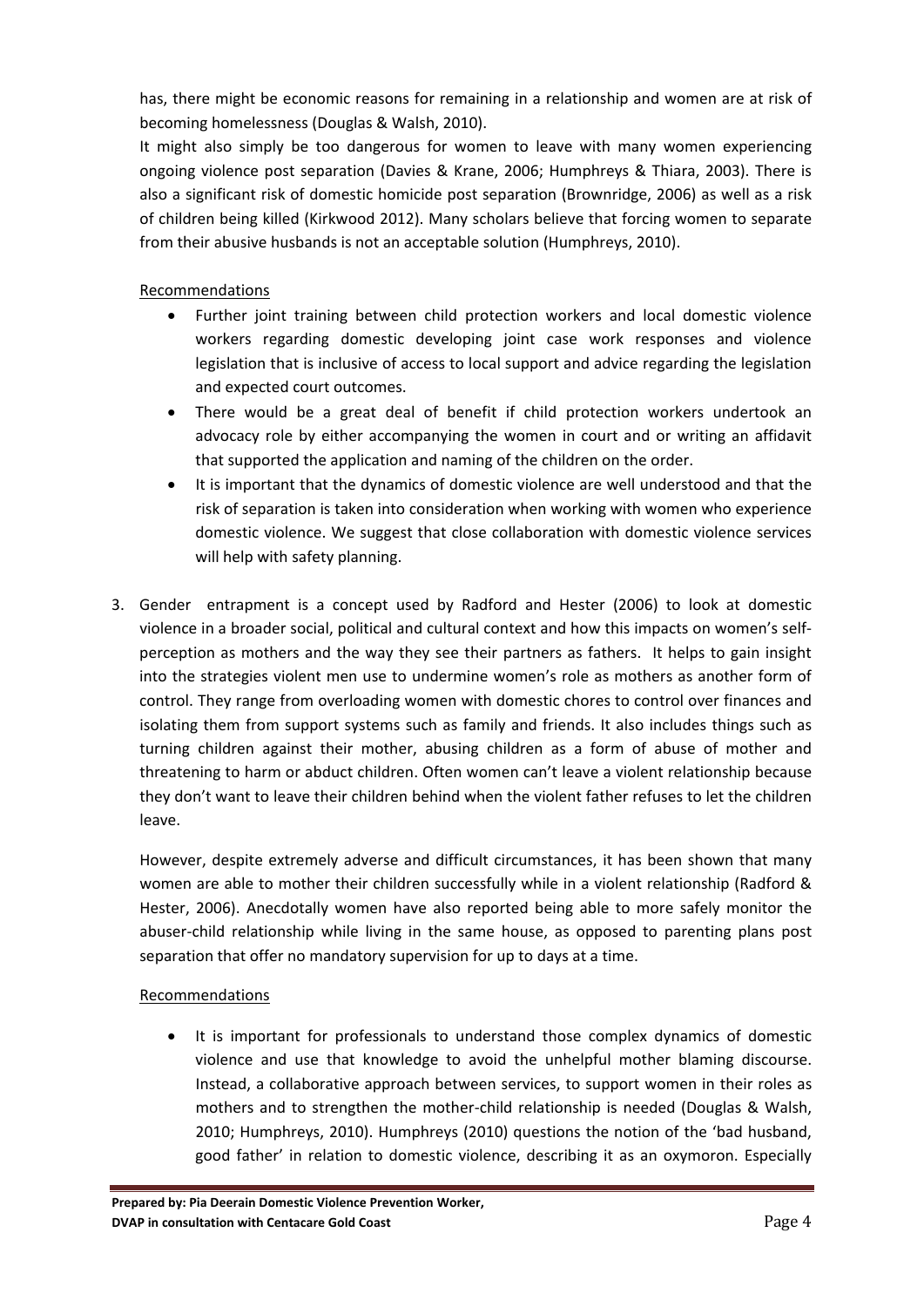has, there might be economic reasons for remaining in a relationship and women are at risk of becoming homelessness ([Douglas](#page-5-5) & Walsh, 2010).

It might also simply be too dangerous for women to leave with many women experiencing ongoing violence post separation [\(Davies](#page-5-8) & Krane, 2006; [Humphreys](#page-5-9) & Thiara, 2003). There is also a significant risk of domestic homicide post separation [\(Brownridge,](#page-5-10) 2006) as well as a risk of children being killed [\(Kirkwood](#page-5-11) 2012). Many scholars believe that forcing women to separate from their abusive husbands is not an acceptable solution [\(Humphreys,](#page-5-12) 2010).

Recommendations

- Further joint training between child protection workers and local domestic violence workers regarding domestic developing joint case work responses and violence legislation that is inclusive of access to local support and advice regarding the legislation and expected court outcomes.
- There would be a great deal of benefit if child protection workers undertook an advocacy role by either accompanying the women in court and or writing an affidavit that supported the application and naming of the children on the order.
- It is important that the dynamics of domestic violence are well understood and that the risk of separation is taken into consideration when working with women who experience domestic violence. We suggest that close collaboration with domestic violence services will help with safety planning.
- 3. Gender entrapment is a concept used by Radford and Hester ([2006\)](#page-5-4) to look at domestic violence in a broader social, political and cultural context and how this impacts on women's self‐ perception as mothers and the way they see their partners as fathers. It helps to gain insight into the strategies violent men use to undermine women's role as mothers as another form of control. They range from overloading women with domestic chores to control over finances and isolating them from support systems such as family and friends. It also includes things such as turning children against their mother, abusing children as a form of abuse of mother and threatening to harm or abduct children. Often women can't leave a violent relationship because they don't want to leave their children behind when the violent father refuses to let the children leave.

However, despite extremely adverse and difficult circumstances, it has been shown that many women are able to mother their children successfully while in a violent relationship ([Radford](#page-5-4) & [Hester,](#page-5-4) 2006). Anecdotally women have also reported being able to more safely monitor the abuser-child relationship while living in the same house, as opposed to parenting plans post separation that offer no mandatory supervision for up to days at a time.

#### Recommendations

 It is important for professionals to understand those complex dynamics of domestic violence and use that knowledge to avoid the unhelpful mother blaming discourse. Instead, a collaborative approach between services, to support women in their roles as mothers and to strengthen the mother‐child relationship is needed [\(Douglas](#page-5-5) & Walsh, [2010](#page-5-5); [Humphreys,](#page-5-12) 2010). Humphreys [\(2010](#page-5-12)) questions the notion of the 'bad husband, good father' in relation to domestic violence, describing it as an oxymoron. Especially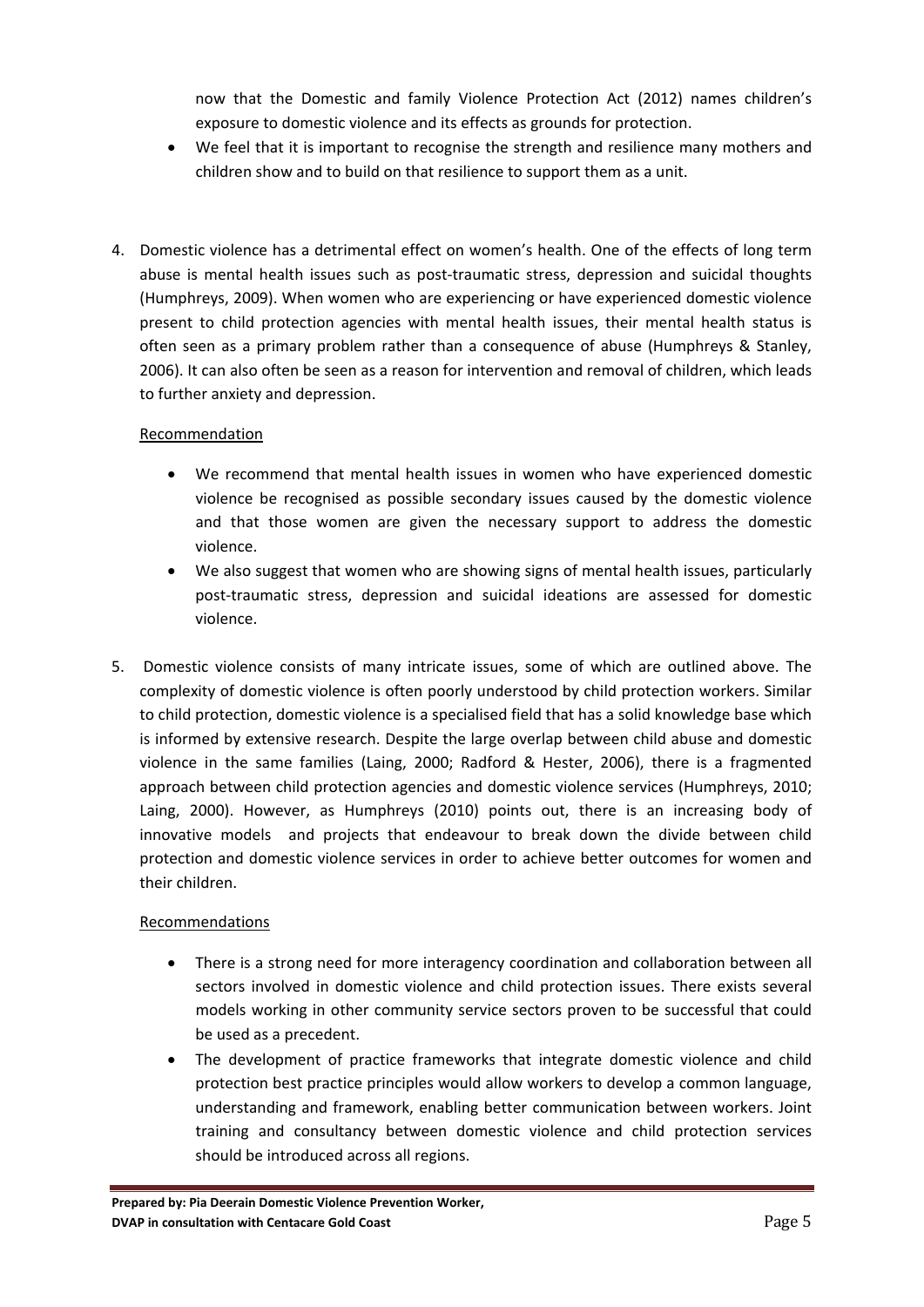now that the Domestic and family Violence Protection Act (2012) names children's exposure to domestic violence and its effects as grounds for protection.

- We feel that it is important to recognise the strength and resilience many mothers and children show and to build on that resilience to support them as a unit.
- 4. Domestic violence has a detrimental effect on women's health. One of the effects of long term abuse is mental health issues such as post-traumatic stress, depression and suicidal thoughts [\(Humphreys,](#page-5-13) 2009). When women who are experiencing or have experienced domestic violence present to child protection agencies with mental health issues, their mental health status is often seen as a primary problem rather than a consequence of abuse [\(Humphreys](#page-5-14) & Stanley, [2006](#page-5-14)). It can also often be seen as a reason for intervention and removal of children, which leads to further anxiety and depression.

#### Recommendation

- We recommend that mental health issues in women who have experienced domestic violence be recognised as possible secondary issues caused by the domestic violence and that those women are given the necessary support to address the domestic violence.
- We also suggest that women who are showing signs of mental health issues, particularly post-traumatic stress, depression and suicidal ideations are assessed for domestic violence.
- 5. Domestic violence consists of many intricate issues, some of which are outlined above. The complexity of domestic violence is often poorly understood by child protection workers. Similar to child protection, domestic violence is a specialised field that has a solid knowledge base which is informed by extensive research. Despite the large overlap between child abuse and domestic violence in the same families [\(Laing,](#page-5-3) 2000; [Radford](#page-5-4) & Hester, 2006), there is a fragmented approach between child protection agencies and domestic violence services ([Humphreys,](#page-5-12) 2010; [Laing,](#page-5-3) 2000). However, as Humphreys [\(2010](#page-5-12)) points out, there is an increasing body of innovative models and projects that endeavour to break down the divide between child protection and domestic violence services in order to achieve better outcomes for women and their children.

#### Recommendations

- There is a strong need for more interagency coordination and collaboration between all sectors involved in domestic violence and child protection issues. There exists several models working in other community service sectors proven to be successful that could be used as a precedent.
- The development of practice frameworks that integrate domestic violence and child protection best practice principles would allow workers to develop a common language, understanding and framework, enabling better communication between workers. Joint training and consultancy between domestic violence and child protection services should be introduced across all regions.